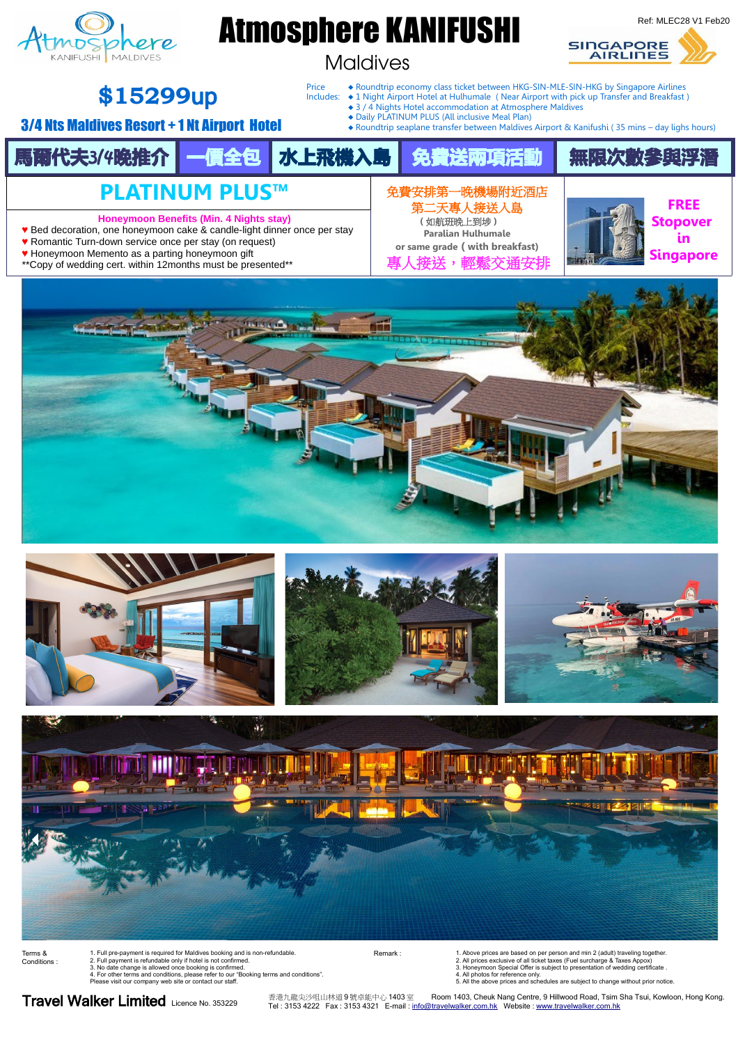

2. All prices exclusive of all ticket taxes (Fuel surcharge & Taxes Appox)<br>3. Honeymoon Special Offer is subject to presentation of wedding certificate .<br>4. All photos for reference only.<br>5. All the above prices and schedu

Travel Walker Limited Licence No. 353229

香港九龍尖沙咀山林道 9 號卓能中心 1403 室 Room 1403, Cheuk Nang Centre, 9 Hillwood Road, Tsim Sha Tsui, Kowloon, Hong Kong. Tel : 3153 4222 Fax : 3153 4321 E-mail : [info@travelwalker.com.hk](mailto:info@travelwalker.com.hk) Website : [www.travelwalker.com.hk](http://www.travelwalker.com.hk/)